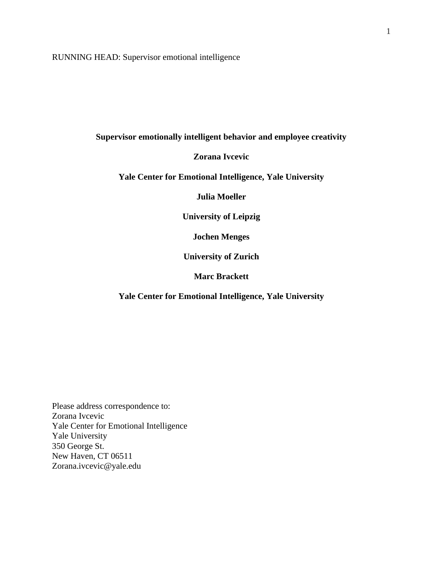RUNNING HEAD: Supervisor emotional intelligence

# **Supervisor emotionally intelligent behavior and employee creativity**

## **Zorana Ivcevic**

# **Yale Center for Emotional Intelligence, Yale University**

**Julia Moeller**

**University of Leipzig** 

**Jochen Menges**

**University of Zurich** 

**Marc Brackett**

**Yale Center for Emotional Intelligence, Yale University**

Please address correspondence to: Zorana Ivcevic Yale Center for Emotional Intelligence Yale University 350 George St. New Haven, CT 06511 Zorana.ivcevic@yale.edu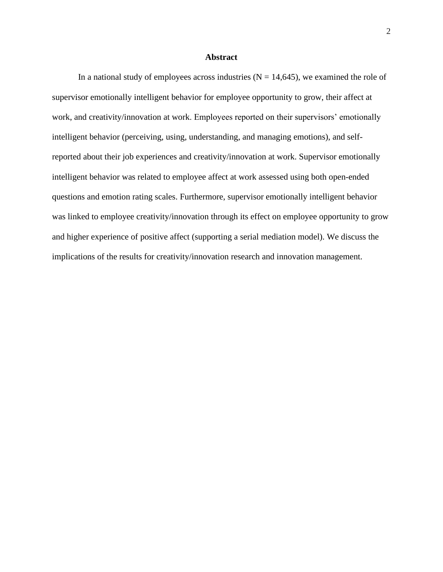### **Abstract**

In a national study of employees across industries  $(N = 14,645)$ , we examined the role of supervisor emotionally intelligent behavior for employee opportunity to grow, their affect at work, and creativity/innovation at work. Employees reported on their supervisors' emotionally intelligent behavior (perceiving, using, understanding, and managing emotions), and selfreported about their job experiences and creativity/innovation at work. Supervisor emotionally intelligent behavior was related to employee affect at work assessed using both open-ended questions and emotion rating scales. Furthermore, supervisor emotionally intelligent behavior was linked to employee creativity/innovation through its effect on employee opportunity to grow and higher experience of positive affect (supporting a serial mediation model). We discuss the implications of the results for creativity/innovation research and innovation management.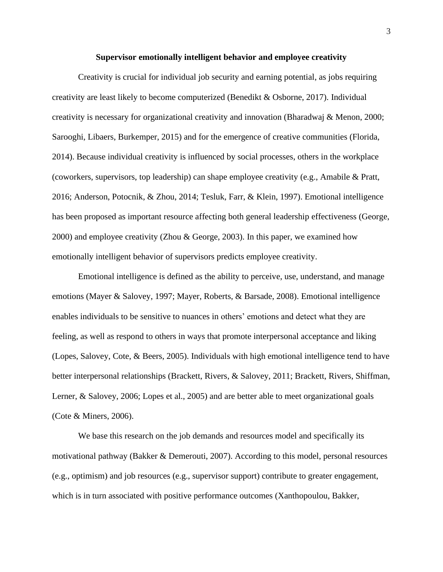#### **Supervisor emotionally intelligent behavior and employee creativity**

Creativity is crucial for individual job security and earning potential, as jobs requiring creativity are least likely to become computerized (Benedikt & Osborne, 2017). Individual creativity is necessary for organizational creativity and innovation (Bharadwaj & Menon, 2000; Sarooghi, Libaers, Burkemper, 2015) and for the emergence of creative communities (Florida, 2014). Because individual creativity is influenced by social processes, others in the workplace (coworkers, supervisors, top leadership) can shape employee creativity (e.g., Amabile & Pratt, 2016; Anderson, Potocnik, & Zhou, 2014; Tesluk, Farr, & Klein, 1997). Emotional intelligence has been proposed as important resource affecting both general leadership effectiveness (George, 2000) and employee creativity (Zhou & George, 2003). In this paper, we examined how emotionally intelligent behavior of supervisors predicts employee creativity.

Emotional intelligence is defined as the ability to perceive, use, understand, and manage emotions (Mayer & Salovey, 1997; Mayer, Roberts, & Barsade, 2008). Emotional intelligence enables individuals to be sensitive to nuances in others' emotions and detect what they are feeling, as well as respond to others in ways that promote interpersonal acceptance and liking (Lopes, Salovey, Cote, & Beers, 2005). Individuals with high emotional intelligence tend to have better interpersonal relationships (Brackett, Rivers, & Salovey, 2011; Brackett, Rivers, Shiffman, Lerner, & Salovey, 2006; Lopes et al., 2005) and are better able to meet organizational goals (Cote & Miners, 2006).

We base this research on the job demands and resources model and specifically its motivational pathway (Bakker & Demerouti, 2007). According to this model, personal resources (e.g., optimism) and job resources (e.g., supervisor support) contribute to greater engagement, which is in turn associated with positive performance outcomes (Xanthopoulou, Bakker,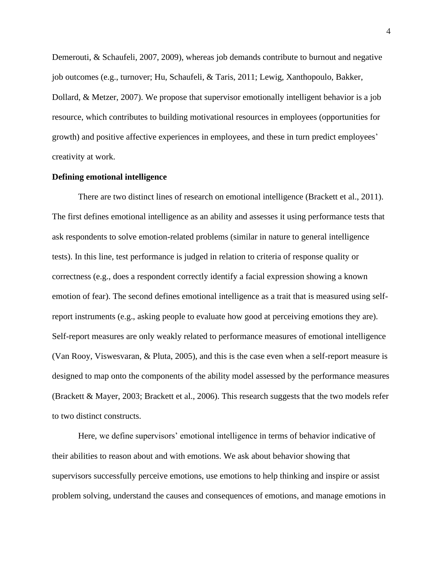Demerouti, & Schaufeli, 2007, 2009), whereas job demands contribute to burnout and negative job outcomes (e.g., turnover; Hu, Schaufeli, & Taris, 2011; Lewig, Xanthopoulo, Bakker, Dollard, & Metzer, 2007). We propose that supervisor emotionally intelligent behavior is a job resource, which contributes to building motivational resources in employees (opportunities for growth) and positive affective experiences in employees, and these in turn predict employees' creativity at work.

## **Defining emotional intelligence**

There are two distinct lines of research on emotional intelligence (Brackett et al., 2011). The first defines emotional intelligence as an ability and assesses it using performance tests that ask respondents to solve emotion-related problems (similar in nature to general intelligence tests). In this line, test performance is judged in relation to criteria of response quality or correctness (e.g., does a respondent correctly identify a facial expression showing a known emotion of fear). The second defines emotional intelligence as a trait that is measured using selfreport instruments (e.g., asking people to evaluate how good at perceiving emotions they are). Self-report measures are only weakly related to performance measures of emotional intelligence (Van Rooy, Viswesvaran, & Pluta, 2005), and this is the case even when a self-report measure is designed to map onto the components of the ability model assessed by the performance measures (Brackett & Mayer, 2003; Brackett et al., 2006). This research suggests that the two models refer to two distinct constructs.

Here, we define supervisors' emotional intelligence in terms of behavior indicative of their abilities to reason about and with emotions. We ask about behavior showing that supervisors successfully perceive emotions, use emotions to help thinking and inspire or assist problem solving, understand the causes and consequences of emotions, and manage emotions in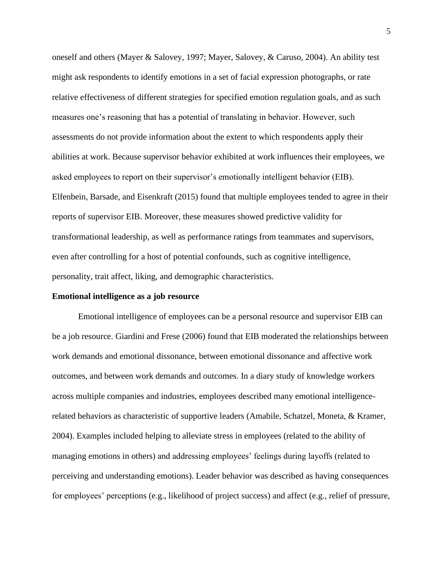oneself and others (Mayer & Salovey, 1997; Mayer, Salovey, & Caruso, 2004). An ability test might ask respondents to identify emotions in a set of facial expression photographs, or rate relative effectiveness of different strategies for specified emotion regulation goals, and as such measures one's reasoning that has a potential of translating in behavior. However, such assessments do not provide information about the extent to which respondents apply their abilities at work. Because supervisor behavior exhibited at work influences their employees, we asked employees to report on their supervisor's emotionally intelligent behavior (EIB). Elfenbein, Barsade, and Eisenkraft (2015) found that multiple employees tended to agree in their reports of supervisor EIB. Moreover, these measures showed predictive validity for transformational leadership, as well as performance ratings from teammates and supervisors, even after controlling for a host of potential confounds, such as cognitive intelligence, personality, trait affect, liking, and demographic characteristics.

## **Emotional intelligence as a job resource**

Emotional intelligence of employees can be a personal resource and supervisor EIB can be a job resource. Giardini and Frese (2006) found that EIB moderated the relationships between work demands and emotional dissonance, between emotional dissonance and affective work outcomes, and between work demands and outcomes. In a diary study of knowledge workers across multiple companies and industries, employees described many emotional intelligencerelated behaviors as characteristic of supportive leaders (Amabile, Schatzel, Moneta, & Kramer, 2004). Examples included helping to alleviate stress in employees (related to the ability of managing emotions in others) and addressing employees' feelings during layoffs (related to perceiving and understanding emotions). Leader behavior was described as having consequences for employees' perceptions (e.g., likelihood of project success) and affect (e.g., relief of pressure,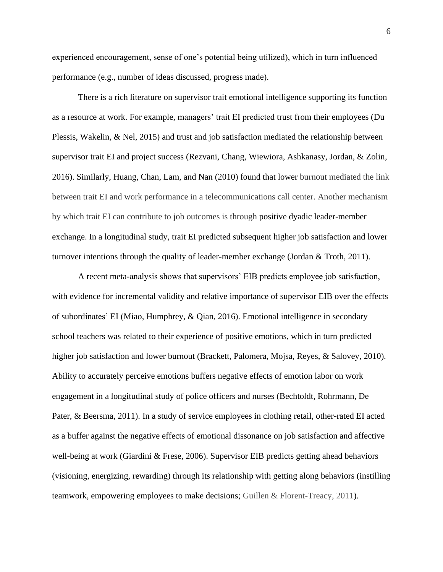experienced encouragement, sense of one's potential being utilized), which in turn influenced performance (e.g., number of ideas discussed, progress made).

There is a rich literature on supervisor trait emotional intelligence supporting its function as a resource at work. For example, managers' trait EI predicted trust from their employees (Du Plessis, Wakelin, & Nel, 2015) and trust and job satisfaction mediated the relationship between supervisor trait EI and project success (Rezvani, Chang, Wiewiora, Ashkanasy, Jordan, & Zolin, 2016). Similarly, Huang, Chan, Lam, and Nan (2010) found that lower burnout mediated the link between trait EI and work performance in a telecommunications call center. Another mechanism by which trait EI can contribute to job outcomes is through positive dyadic leader-member exchange. In a longitudinal study, trait EI predicted subsequent higher job satisfaction and lower turnover intentions through the quality of leader-member exchange (Jordan & Troth, 2011).

A recent meta-analysis shows that supervisors' EIB predicts employee job satisfaction, with evidence for incremental validity and relative importance of supervisor EIB over the effects of subordinates' EI (Miao, Humphrey, & Qian, 2016). Emotional intelligence in secondary school teachers was related to their experience of positive emotions, which in turn predicted higher job satisfaction and lower burnout (Brackett, Palomera, Mojsa, Reyes, & Salovey, 2010). Ability to accurately perceive emotions buffers negative effects of emotion labor on work engagement in a longitudinal study of police officers and nurses (Bechtoldt, Rohrmann, De Pater, & Beersma, 2011). In a study of service employees in clothing retail, other-rated EI acted as a buffer against the negative effects of emotional dissonance on job satisfaction and affective well-being at work (Giardini & Frese, 2006). Supervisor EIB predicts getting ahead behaviors (visioning, energizing, rewarding) through its relationship with getting along behaviors (instilling teamwork, empowering employees to make decisions; Guillen & Florent-Treacy, 2011).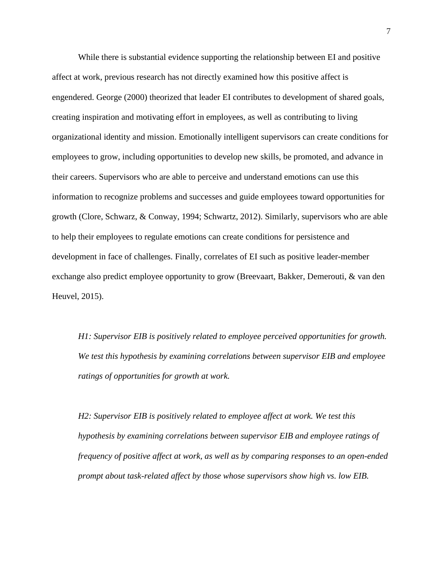While there is substantial evidence supporting the relationship between EI and positive affect at work, previous research has not directly examined how this positive affect is engendered. George (2000) theorized that leader EI contributes to development of shared goals, creating inspiration and motivating effort in employees, as well as contributing to living organizational identity and mission. Emotionally intelligent supervisors can create conditions for employees to grow, including opportunities to develop new skills, be promoted, and advance in their careers. Supervisors who are able to perceive and understand emotions can use this information to recognize problems and successes and guide employees toward opportunities for growth (Clore, Schwarz, & Conway, 1994; Schwartz, 2012). Similarly, supervisors who are able to help their employees to regulate emotions can create conditions for persistence and development in face of challenges. Finally, correlates of EI such as positive leader-member exchange also predict employee opportunity to grow (Breevaart, Bakker, Demerouti, & van den Heuvel, 2015).

*H1: Supervisor EIB is positively related to employee perceived opportunities for growth. We test this hypothesis by examining correlations between supervisor EIB and employee ratings of opportunities for growth at work.*

*H2: Supervisor EIB is positively related to employee affect at work. We test this hypothesis by examining correlations between supervisor EIB and employee ratings of frequency of positive affect at work, as well as by comparing responses to an open-ended prompt about task-related affect by those whose supervisors show high vs. low EIB.*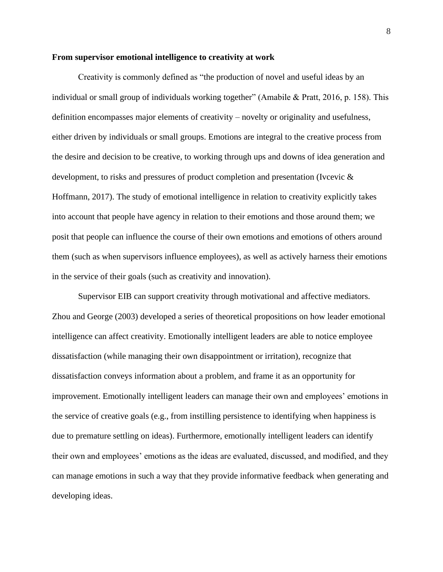#### **From supervisor emotional intelligence to creativity at work**

Creativity is commonly defined as "the production of novel and useful ideas by an individual or small group of individuals working together" (Amabile & Pratt, 2016, p. 158). This definition encompasses major elements of creativity – novelty or originality and usefulness, either driven by individuals or small groups. Emotions are integral to the creative process from the desire and decision to be creative, to working through ups and downs of idea generation and development, to risks and pressures of product completion and presentation (Ivcevic & Hoffmann, 2017). The study of emotional intelligence in relation to creativity explicitly takes into account that people have agency in relation to their emotions and those around them; we posit that people can influence the course of their own emotions and emotions of others around them (such as when supervisors influence employees), as well as actively harness their emotions in the service of their goals (such as creativity and innovation).

Supervisor EIB can support creativity through motivational and affective mediators. Zhou and George (2003) developed a series of theoretical propositions on how leader emotional intelligence can affect creativity. Emotionally intelligent leaders are able to notice employee dissatisfaction (while managing their own disappointment or irritation), recognize that dissatisfaction conveys information about a problem, and frame it as an opportunity for improvement. Emotionally intelligent leaders can manage their own and employees' emotions in the service of creative goals (e.g., from instilling persistence to identifying when happiness is due to premature settling on ideas). Furthermore, emotionally intelligent leaders can identify their own and employees' emotions as the ideas are evaluated, discussed, and modified, and they can manage emotions in such a way that they provide informative feedback when generating and developing ideas.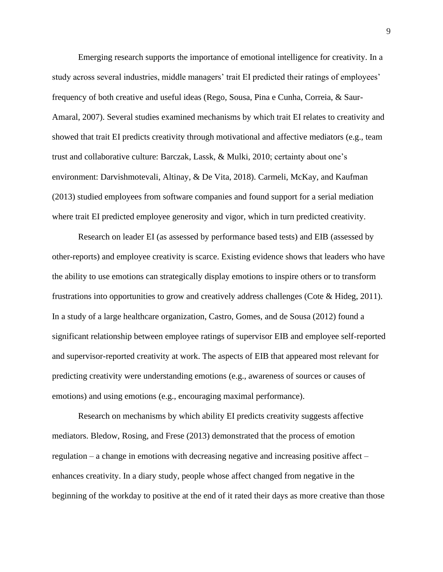Emerging research supports the importance of emotional intelligence for creativity. In a study across several industries, middle managers' trait EI predicted their ratings of employees' frequency of both creative and useful ideas (Rego, Sousa, Pina e Cunha, Correia, & Saur-Amaral, 2007). Several studies examined mechanisms by which trait EI relates to creativity and showed that trait EI predicts creativity through motivational and affective mediators (e.g., team trust and collaborative culture: Barczak, Lassk, & Mulki, 2010; certainty about one's environment: Darvishmotevali, Altinay, & De Vita, 2018). Carmeli, McKay, and Kaufman (2013) studied employees from software companies and found support for a serial mediation where trait EI predicted employee generosity and vigor, which in turn predicted creativity.

Research on leader EI (as assessed by performance based tests) and EIB (assessed by other-reports) and employee creativity is scarce. Existing evidence shows that leaders who have the ability to use emotions can strategically display emotions to inspire others or to transform frustrations into opportunities to grow and creatively address challenges (Cote & Hideg, 2011). In a study of a large healthcare organization, Castro, Gomes, and de Sousa (2012) found a significant relationship between employee ratings of supervisor EIB and employee self-reported and supervisor-reported creativity at work. The aspects of EIB that appeared most relevant for predicting creativity were understanding emotions (e.g., awareness of sources or causes of emotions) and using emotions (e.g., encouraging maximal performance).

Research on mechanisms by which ability EI predicts creativity suggests affective mediators. Bledow, Rosing, and Frese (2013) demonstrated that the process of emotion regulation – a change in emotions with decreasing negative and increasing positive affect – enhances creativity. In a diary study, people whose affect changed from negative in the beginning of the workday to positive at the end of it rated their days as more creative than those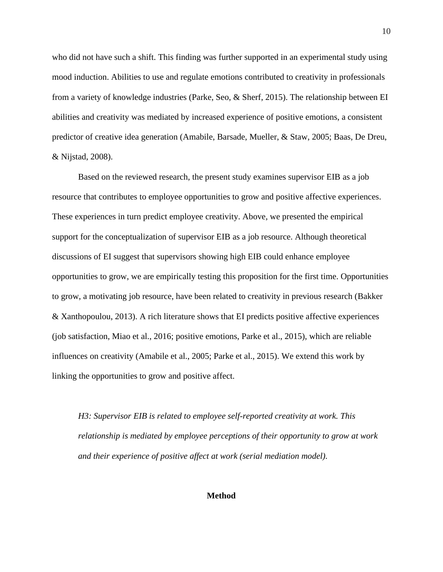who did not have such a shift. This finding was further supported in an experimental study using mood induction. Abilities to use and regulate emotions contributed to creativity in professionals from a variety of knowledge industries (Parke, Seo, & Sherf, 2015). The relationship between EI abilities and creativity was mediated by increased experience of positive emotions, a consistent predictor of creative idea generation (Amabile, Barsade, Mueller, & Staw, 2005; Baas, De Dreu, & Nijstad, 2008).

Based on the reviewed research, the present study examines supervisor EIB as a job resource that contributes to employee opportunities to grow and positive affective experiences. These experiences in turn predict employee creativity. Above, we presented the empirical support for the conceptualization of supervisor EIB as a job resource. Although theoretical discussions of EI suggest that supervisors showing high EIB could enhance employee opportunities to grow, we are empirically testing this proposition for the first time. Opportunities to grow, a motivating job resource, have been related to creativity in previous research (Bakker & Xanthopoulou, 2013). A rich literature shows that EI predicts positive affective experiences (job satisfaction, Miao et al., 2016; positive emotions, Parke et al., 2015), which are reliable influences on creativity (Amabile et al., 2005; Parke et al., 2015). We extend this work by linking the opportunities to grow and positive affect.

*H3: Supervisor EIB is related to employee self-reported creativity at work. This relationship is mediated by employee perceptions of their opportunity to grow at work and their experience of positive affect at work (serial mediation model).* 

**Method**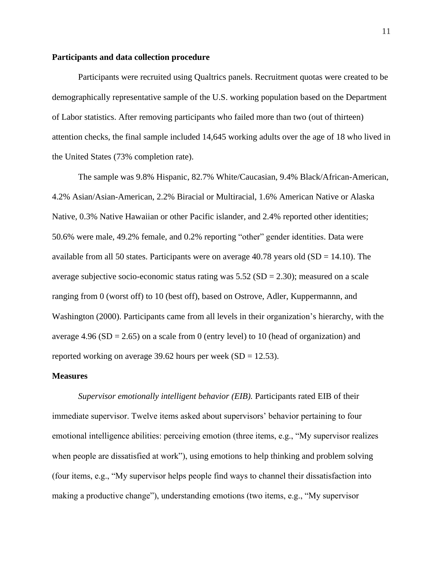## **Participants and data collection procedure**

Participants were recruited using Qualtrics panels. Recruitment quotas were created to be demographically representative sample of the U.S. working population based on the Department of Labor statistics. After removing participants who failed more than two (out of thirteen) attention checks, the final sample included 14,645 working adults over the age of 18 who lived in the United States (73% completion rate).

The sample was 9.8% Hispanic, 82.7% White/Caucasian, 9.4% Black/African-American, 4.2% Asian/Asian-American, 2.2% Biracial or Multiracial, 1.6% American Native or Alaska Native, 0.3% Native Hawaiian or other Pacific islander, and 2.4% reported other identities; 50.6% were male, 49.2% female, and 0.2% reporting "other" gender identities. Data were available from all 50 states. Participants were on average  $40.78$  years old (SD = 14.10). The average subjective socio-economic status rating was  $5.52$  (SD = 2.30); measured on a scale ranging from 0 (worst off) to 10 (best off), based on Ostrove, Adler, Kuppermannn, and Washington (2000). Participants came from all levels in their organization's hierarchy, with the average 4.96 (SD = 2.65) on a scale from 0 (entry level) to 10 (head of organization) and reported working on average 39.62 hours per week  $(SD = 12.53)$ .

## **Measures**

*Supervisor emotionally intelligent behavior (EIB).* Participants rated EIB of their immediate supervisor. Twelve items asked about supervisors' behavior pertaining to four emotional intelligence abilities: perceiving emotion (three items, e.g., "My supervisor realizes when people are dissatisfied at work"), using emotions to help thinking and problem solving (four items, e.g., "My supervisor helps people find ways to channel their dissatisfaction into making a productive change"), understanding emotions (two items, e.g., "My supervisor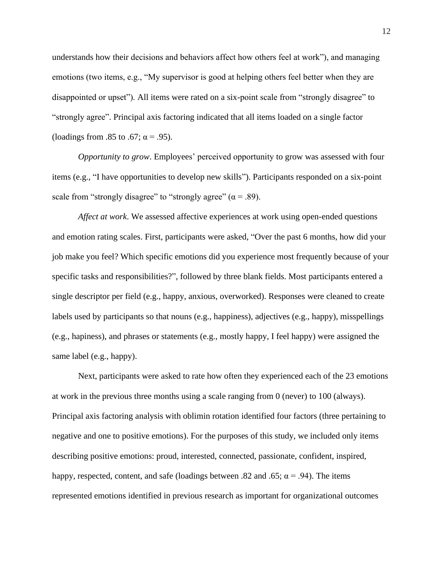understands how their decisions and behaviors affect how others feel at work"), and managing emotions (two items, e.g., "My supervisor is good at helping others feel better when they are disappointed or upset"). All items were rated on a six-point scale from "strongly disagree" to "strongly agree". Principal axis factoring indicated that all items loaded on a single factor (loadings from .85 to .67;  $\alpha$  = .95).

*Opportunity to grow*. Employees' perceived opportunity to grow was assessed with four items (e.g., "I have opportunities to develop new skills"). Participants responded on a six-point scale from "strongly disagree" to "strongly agree"  $(\alpha = .89)$ .

*Affect at work*. We assessed affective experiences at work using open-ended questions and emotion rating scales. First, participants were asked, "Over the past 6 months, how did your job make you feel? Which specific emotions did you experience most frequently because of your specific tasks and responsibilities?", followed by three blank fields. Most participants entered a single descriptor per field (e.g., happy, anxious, overworked). Responses were cleaned to create labels used by participants so that nouns (e.g., happiness), adjectives (e.g., happy), misspellings (e.g., hapiness), and phrases or statements (e.g., mostly happy, I feel happy) were assigned the same label (e.g., happy).

Next, participants were asked to rate how often they experienced each of the 23 emotions at work in the previous three months using a scale ranging from 0 (never) to 100 (always). Principal axis factoring analysis with oblimin rotation identified four factors (three pertaining to negative and one to positive emotions). For the purposes of this study, we included only items describing positive emotions: proud, interested, connected, passionate, confident, inspired, happy, respected, content, and safe (loadings between .82 and .65;  $\alpha$  = .94). The items represented emotions identified in previous research as important for organizational outcomes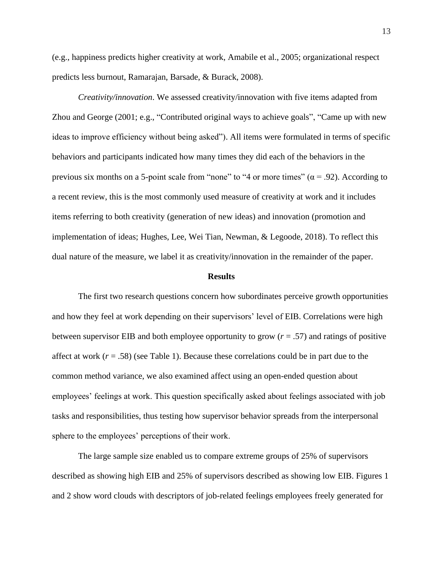(e.g., happiness predicts higher creativity at work, Amabile et al., 2005; organizational respect predicts less burnout, Ramarajan, Barsade, & Burack, 2008).

*Creativity/innovation*. We assessed creativity/innovation with five items adapted from Zhou and George (2001; e.g., "Contributed original ways to achieve goals", "Came up with new ideas to improve efficiency without being asked"). All items were formulated in terms of specific behaviors and participants indicated how many times they did each of the behaviors in the previous six months on a 5-point scale from "none" to "4 or more times" ( $\alpha$  = .92). According to a recent review, this is the most commonly used measure of creativity at work and it includes items referring to both creativity (generation of new ideas) and innovation (promotion and implementation of ideas; Hughes, Lee, Wei Tian, Newman, & Legoode, 2018). To reflect this dual nature of the measure, we label it as creativity/innovation in the remainder of the paper.

#### **Results**

The first two research questions concern how subordinates perceive growth opportunities and how they feel at work depending on their supervisors' level of EIB. Correlations were high between supervisor EIB and both employee opportunity to grow (*r* = .57) and ratings of positive affect at work  $(r = .58)$  (see Table 1). Because these correlations could be in part due to the common method variance, we also examined affect using an open-ended question about employees' feelings at work. This question specifically asked about feelings associated with job tasks and responsibilities, thus testing how supervisor behavior spreads from the interpersonal sphere to the employees' perceptions of their work.

The large sample size enabled us to compare extreme groups of 25% of supervisors described as showing high EIB and 25% of supervisors described as showing low EIB. Figures 1 and 2 show word clouds with descriptors of job-related feelings employees freely generated for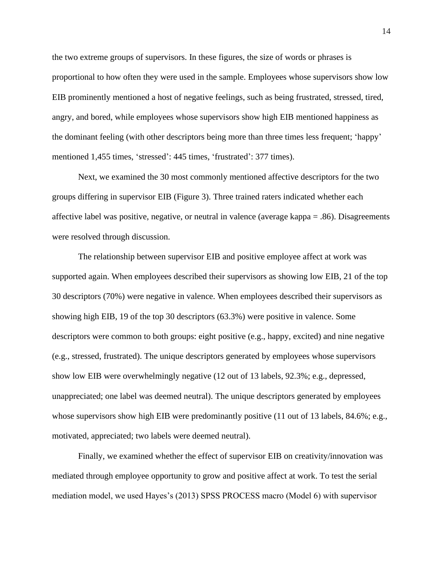the two extreme groups of supervisors. In these figures, the size of words or phrases is proportional to how often they were used in the sample. Employees whose supervisors show low EIB prominently mentioned a host of negative feelings, such as being frustrated, stressed, tired, angry, and bored, while employees whose supervisors show high EIB mentioned happiness as the dominant feeling (with other descriptors being more than three times less frequent; 'happy' mentioned 1,455 times, 'stressed': 445 times, 'frustrated': 377 times).

Next, we examined the 30 most commonly mentioned affective descriptors for the two groups differing in supervisor EIB (Figure 3). Three trained raters indicated whether each affective label was positive, negative, or neutral in valence (average kappa = .86). Disagreements were resolved through discussion.

The relationship between supervisor EIB and positive employee affect at work was supported again. When employees described their supervisors as showing low EIB, 21 of the top 30 descriptors (70%) were negative in valence. When employees described their supervisors as showing high EIB, 19 of the top 30 descriptors (63.3%) were positive in valence. Some descriptors were common to both groups: eight positive (e.g., happy, excited) and nine negative (e.g., stressed, frustrated). The unique descriptors generated by employees whose supervisors show low EIB were overwhelmingly negative (12 out of 13 labels, 92.3%; e.g., depressed, unappreciated; one label was deemed neutral). The unique descriptors generated by employees whose supervisors show high EIB were predominantly positive (11 out of 13 labels, 84.6%; e.g., motivated, appreciated; two labels were deemed neutral).

Finally, we examined whether the effect of supervisor EIB on creativity/innovation was mediated through employee opportunity to grow and positive affect at work. To test the serial mediation model, we used Hayes's (2013) SPSS PROCESS macro (Model 6) with supervisor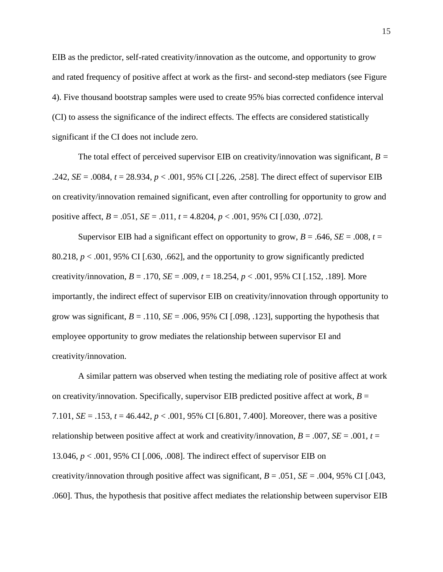EIB as the predictor, self-rated creativity/innovation as the outcome, and opportunity to grow and rated frequency of positive affect at work as the first- and second-step mediators (see Figure 4). Five thousand bootstrap samples were used to create 95% bias corrected confidence interval (CI) to assess the significance of the indirect effects. The effects are considered statistically significant if the CI does not include zero.

The total effect of perceived supervisor EIB on creativity/innovation was significant, *B =* .242, *SE* = .0084, *t* = 28.934, *p* < .001, 95% CI [.226, .258]. The direct effect of supervisor EIB on creativity/innovation remained significant, even after controlling for opportunity to grow and positive affect,  $B = .051$ ,  $SE = .011$ ,  $t = 4.8204$ ,  $p < .001$ , 95% CI [.030, .072].

Supervisor EIB had a significant effect on opportunity to grow,  $B = .646$ ,  $SE = .008$ ,  $t =$ 80.218,  $p < .001$ , 95% CI [.630, .662], and the opportunity to grow significantly predicted creativity/innovation,  $B = .170$ ,  $SE = .009$ ,  $t = 18.254$ ,  $p < .001$ , 95% CI [.152, .189]. More importantly, the indirect effect of supervisor EIB on creativity/innovation through opportunity to grow was significant,  $B = .110$ ,  $SE = .006$ , 95% CI [.098, .123], supporting the hypothesis that employee opportunity to grow mediates the relationship between supervisor EI and creativity/innovation.

A similar pattern was observed when testing the mediating role of positive affect at work on creativity/innovation. Specifically, supervisor EIB predicted positive affect at work,  $B =$ 7.101, *SE* = .153, *t* = 46.442, *p* < .001, 95% CI [6.801, 7.400]. Moreover, there was a positive relationship between positive affect at work and creativity/innovation,  $B = .007$ ,  $SE = .001$ ,  $t =$ 13.046, *p* < .001, 95% CI [.006, .008]. The indirect effect of supervisor EIB on creativity/innovation through positive affect was significant,  $B = .051$ ,  $SE = .004$ , 95% CI [.043, .060]. Thus, the hypothesis that positive affect mediates the relationship between supervisor EIB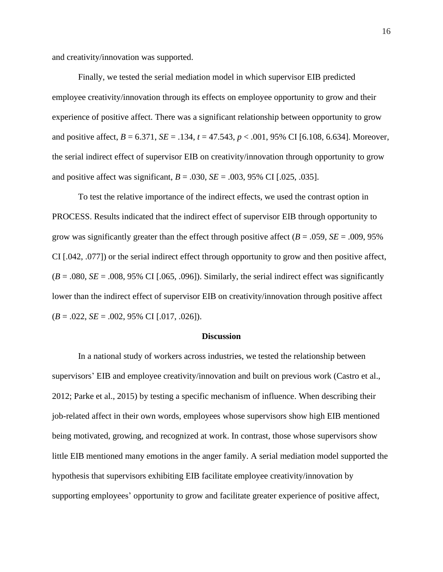and creativity/innovation was supported.

Finally, we tested the serial mediation model in which supervisor EIB predicted employee creativity/innovation through its effects on employee opportunity to grow and their experience of positive affect. There was a significant relationship between opportunity to grow and positive affect, *B* = 6.371, *SE* = .134, *t* = 47.543, *p* < .001, 95% CI [6.108, 6.634]. Moreover, the serial indirect effect of supervisor EIB on creativity/innovation through opportunity to grow and positive affect was significant,  $B = .030$ ,  $SE = .003$ ,  $95\%$  CI [.025, .035].

To test the relative importance of the indirect effects, we used the contrast option in PROCESS. Results indicated that the indirect effect of supervisor EIB through opportunity to grow was significantly greater than the effect through positive affect ( $B = .059$ ,  $SE = .009$ , 95% CI [.042, .077]) or the serial indirect effect through opportunity to grow and then positive affect,  $(B = .080, SE = .008, 95\% \text{ CI}$  [.065, .096]). Similarly, the serial indirect effect was significantly lower than the indirect effect of supervisor EIB on creativity/innovation through positive affect  $(B = .022, SE = .002, 95\% \text{ CI}$  [.017, .026]).

### **Discussion**

In a national study of workers across industries, we tested the relationship between supervisors' EIB and employee creativity/innovation and built on previous work (Castro et al., 2012; Parke et al., 2015) by testing a specific mechanism of influence. When describing their job-related affect in their own words, employees whose supervisors show high EIB mentioned being motivated, growing, and recognized at work. In contrast, those whose supervisors show little EIB mentioned many emotions in the anger family. A serial mediation model supported the hypothesis that supervisors exhibiting EIB facilitate employee creativity/innovation by supporting employees' opportunity to grow and facilitate greater experience of positive affect,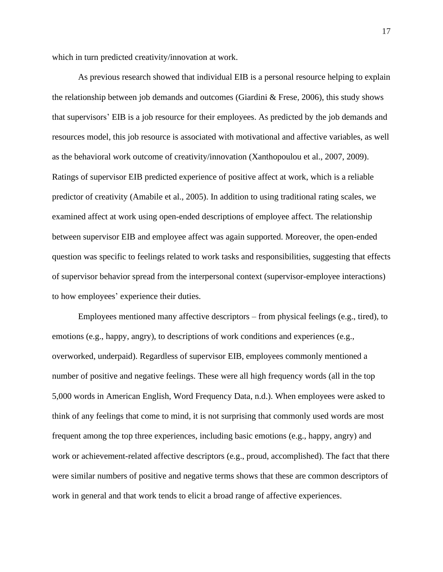which in turn predicted creativity/innovation at work.

As previous research showed that individual EIB is a personal resource helping to explain the relationship between job demands and outcomes (Giardini  $\&$  Frese, 2006), this study shows that supervisors' EIB is a job resource for their employees. As predicted by the job demands and resources model, this job resource is associated with motivational and affective variables, as well as the behavioral work outcome of creativity/innovation (Xanthopoulou et al., 2007, 2009). Ratings of supervisor EIB predicted experience of positive affect at work, which is a reliable predictor of creativity (Amabile et al., 2005). In addition to using traditional rating scales, we examined affect at work using open-ended descriptions of employee affect. The relationship between supervisor EIB and employee affect was again supported. Moreover, the open-ended question was specific to feelings related to work tasks and responsibilities, suggesting that effects of supervisor behavior spread from the interpersonal context (supervisor-employee interactions) to how employees' experience their duties.

Employees mentioned many affective descriptors – from physical feelings (e.g., tired), to emotions (e.g., happy, angry), to descriptions of work conditions and experiences (e.g., overworked, underpaid). Regardless of supervisor EIB, employees commonly mentioned a number of positive and negative feelings. These were all high frequency words (all in the top 5,000 words in American English, Word Frequency Data, n.d.). When employees were asked to think of any feelings that come to mind, it is not surprising that commonly used words are most frequent among the top three experiences, including basic emotions (e.g., happy, angry) and work or achievement-related affective descriptors (e.g., proud, accomplished). The fact that there were similar numbers of positive and negative terms shows that these are common descriptors of work in general and that work tends to elicit a broad range of affective experiences.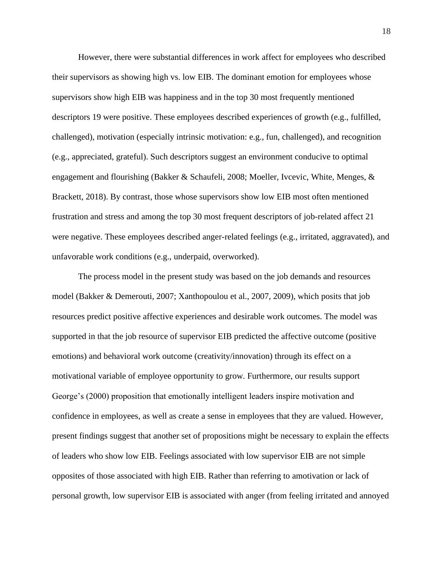However, there were substantial differences in work affect for employees who described their supervisors as showing high vs. low EIB. The dominant emotion for employees whose supervisors show high EIB was happiness and in the top 30 most frequently mentioned descriptors 19 were positive. These employees described experiences of growth (e.g., fulfilled, challenged), motivation (especially intrinsic motivation: e.g., fun, challenged), and recognition (e.g., appreciated, grateful). Such descriptors suggest an environment conducive to optimal engagement and flourishing (Bakker & Schaufeli, 2008; Moeller, Ivcevic, White, Menges, & Brackett, 2018). By contrast, those whose supervisors show low EIB most often mentioned frustration and stress and among the top 30 most frequent descriptors of job-related affect 21 were negative. These employees described anger-related feelings (e.g., irritated, aggravated), and unfavorable work conditions (e.g., underpaid, overworked).

The process model in the present study was based on the job demands and resources model (Bakker & Demerouti, 2007; Xanthopoulou et al., 2007, 2009), which posits that job resources predict positive affective experiences and desirable work outcomes. The model was supported in that the job resource of supervisor EIB predicted the affective outcome (positive emotions) and behavioral work outcome (creativity/innovation) through its effect on a motivational variable of employee opportunity to grow. Furthermore, our results support George's (2000) proposition that emotionally intelligent leaders inspire motivation and confidence in employees, as well as create a sense in employees that they are valued. However, present findings suggest that another set of propositions might be necessary to explain the effects of leaders who show low EIB. Feelings associated with low supervisor EIB are not simple opposites of those associated with high EIB. Rather than referring to amotivation or lack of personal growth, low supervisor EIB is associated with anger (from feeling irritated and annoyed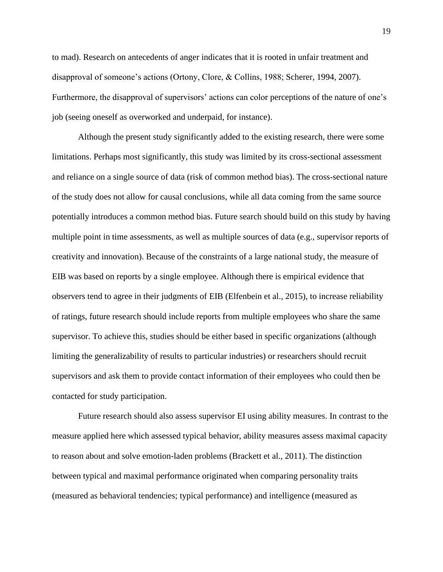to mad). Research on antecedents of anger indicates that it is rooted in unfair treatment and disapproval of someone's actions (Ortony, Clore, & Collins, 1988; Scherer, 1994, 2007). Furthermore, the disapproval of supervisors' actions can color perceptions of the nature of one's job (seeing oneself as overworked and underpaid, for instance).

Although the present study significantly added to the existing research, there were some limitations. Perhaps most significantly, this study was limited by its cross-sectional assessment and reliance on a single source of data (risk of common method bias). The cross-sectional nature of the study does not allow for causal conclusions, while all data coming from the same source potentially introduces a common method bias. Future search should build on this study by having multiple point in time assessments, as well as multiple sources of data (e.g., supervisor reports of creativity and innovation). Because of the constraints of a large national study, the measure of EIB was based on reports by a single employee. Although there is empirical evidence that observers tend to agree in their judgments of EIB (Elfenbein et al., 2015), to increase reliability of ratings, future research should include reports from multiple employees who share the same supervisor. To achieve this, studies should be either based in specific organizations (although limiting the generalizability of results to particular industries) or researchers should recruit supervisors and ask them to provide contact information of their employees who could then be contacted for study participation.

Future research should also assess supervisor EI using ability measures. In contrast to the measure applied here which assessed typical behavior, ability measures assess maximal capacity to reason about and solve emotion-laden problems (Brackett et al., 2011). The distinction between typical and maximal performance originated when comparing personality traits (measured as behavioral tendencies; typical performance) and intelligence (measured as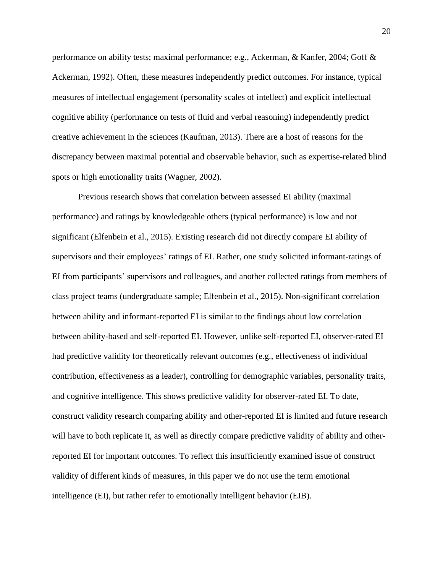performance on ability tests; maximal performance; e.g., Ackerman, & Kanfer, 2004; Goff & Ackerman, 1992). Often, these measures independently predict outcomes. For instance, typical measures of intellectual engagement (personality scales of intellect) and explicit intellectual cognitive ability (performance on tests of fluid and verbal reasoning) independently predict creative achievement in the sciences (Kaufman, 2013). There are a host of reasons for the discrepancy between maximal potential and observable behavior, such as expertise-related blind spots or high emotionality traits (Wagner, 2002).

Previous research shows that correlation between assessed EI ability (maximal performance) and ratings by knowledgeable others (typical performance) is low and not significant (Elfenbein et al., 2015). Existing research did not directly compare EI ability of supervisors and their employees' ratings of EI. Rather, one study solicited informant-ratings of EI from participants' supervisors and colleagues, and another collected ratings from members of class project teams (undergraduate sample; Elfenbein et al., 2015). Non-significant correlation between ability and informant-reported EI is similar to the findings about low correlation between ability-based and self-reported EI. However, unlike self-reported EI, observer-rated EI had predictive validity for theoretically relevant outcomes (e.g., effectiveness of individual contribution, effectiveness as a leader), controlling for demographic variables, personality traits, and cognitive intelligence. This shows predictive validity for observer-rated EI. To date, construct validity research comparing ability and other-reported EI is limited and future research will have to both replicate it, as well as directly compare predictive validity of ability and otherreported EI for important outcomes. To reflect this insufficiently examined issue of construct validity of different kinds of measures, in this paper we do not use the term emotional intelligence (EI), but rather refer to emotionally intelligent behavior (EIB).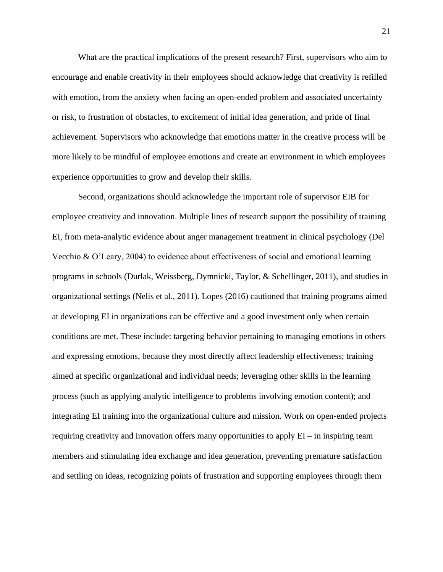What are the practical implications of the present research? First, supervisors who aim to encourage and enable creativity in their employees should acknowledge that creativity is refilled with emotion, from the anxiety when facing an open-ended problem and associated uncertainty or risk, to frustration of obstacles, to excitement of initial idea generation, and pride of final achievement. Supervisors who acknowledge that emotions matter in the creative process will be more likely to be mindful of employee emotions and create an environment in which employees experience opportunities to grow and develop their skills.

Second, organizations should acknowledge the important role of supervisor EIB for employee creativity and innovation. Multiple lines of research support the possibility of training EI, from meta-analytic evidence about anger management treatment in clinical psychology (Del Vecchio & O'Leary, 2004) to evidence about effectiveness of social and emotional learning programs in schools (Durlak, Weissberg, Dymnicki, Taylor, & Schellinger, 2011), and studies in organizational settings (Nelis et al., 2011). Lopes (2016) cautioned that training programs aimed at developing EI in organizations can be effective and a good investment only when certain conditions are met. These include: targeting behavior pertaining to managing emotions in others and expressing emotions, because they most directly affect leadership effectiveness; training aimed at specific organizational and individual needs; leveraging other skills in the learning process (such as applying analytic intelligence to problems involving emotion content); and integrating EI training into the organizational culture and mission. Work on open-ended projects requiring creativity and innovation offers many opportunities to apply  $EI - in$  inspiring team members and stimulating idea exchange and idea generation, preventing premature satisfaction and settling on ideas, recognizing points of frustration and supporting employees through them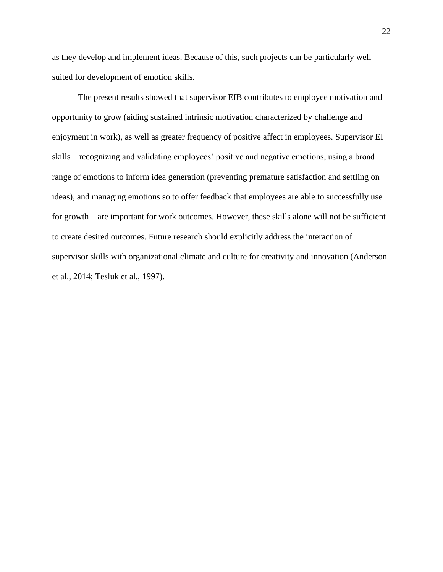as they develop and implement ideas. Because of this, such projects can be particularly well suited for development of emotion skills.

The present results showed that supervisor EIB contributes to employee motivation and opportunity to grow (aiding sustained intrinsic motivation characterized by challenge and enjoyment in work), as well as greater frequency of positive affect in employees. Supervisor EI skills – recognizing and validating employees' positive and negative emotions, using a broad range of emotions to inform idea generation (preventing premature satisfaction and settling on ideas), and managing emotions so to offer feedback that employees are able to successfully use for growth – are important for work outcomes. However, these skills alone will not be sufficient to create desired outcomes. Future research should explicitly address the interaction of supervisor skills with organizational climate and culture for creativity and innovation (Anderson et al., 2014; Tesluk et al., 1997).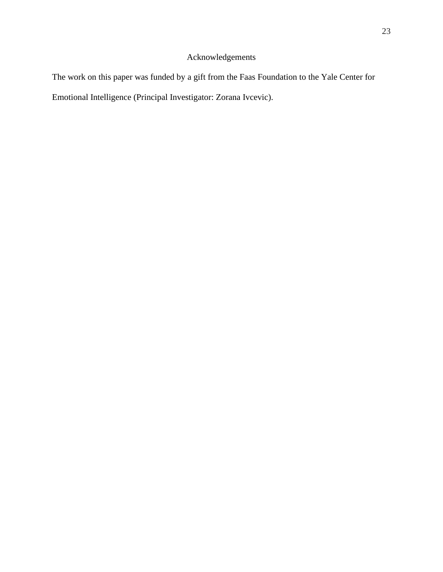# Acknowledgements

The work on this paper was funded by a gift from the Faas Foundation to the Yale Center for Emotional Intelligence (Principal Investigator: Zorana Ivcevic).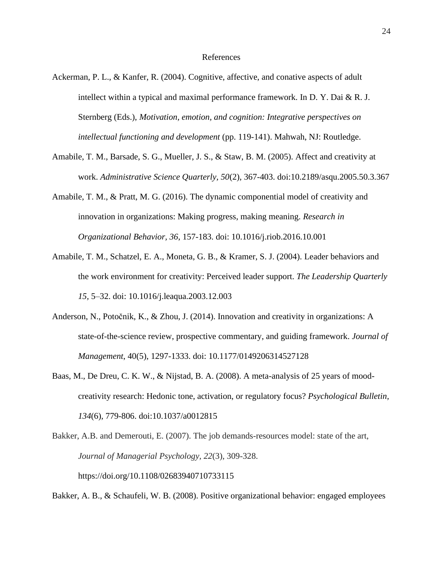### References

- Ackerman, P. L., & Kanfer, R. (2004). Cognitive, affective, and conative aspects of adult intellect within a typical and maximal performance framework. In D. Y. Dai  $\&$  R. J. Sternberg (Eds.), *Motivation, emotion, and cognition: Integrative perspectives on intellectual functioning and development* (pp. 119-141). Mahwah, NJ: Routledge.
- Amabile, T. M., Barsade, S. G., Mueller, J. S., & Staw, B. M. (2005). Affect and creativity at work. *Administrative Science Quarterly, 50*(2)*,* 367-403. doi:10.2189/asqu.2005.50.3.367
- Amabile, T. M., & Pratt, M. G. (2016). The dynamic componential model of creativity and innovation in organizations: Making progress, making meaning. *Research in Organizational Behavior, 36*, 157-183. doi: 10.1016/j.riob.2016.10.001
- Amabile, T. M., Schatzel, E. A., Moneta, G. B., & Kramer, S. J. (2004). Leader behaviors and the work environment for creativity: Perceived leader support. *The Leadership Quarterly 15,* 5–32. doi: 10.1016/j.leaqua.2003.12.003
- Anderson, N., Potočnik, K., & Zhou, J. (2014). Innovation and creativity in organizations: A state-of-the-science review, prospective commentary, and guiding framework. *Journal of Management*, 40(5), 1297-1333. doi: 10.1177/0149206314527128
- Baas, M., De Dreu, C. K. W., & Nijstad, B. A. (2008). A meta-analysis of 25 years of moodcreativity research: Hedonic tone, activation, or regulatory focus? *Psychological Bulletin, 134*(6)*,* 779-806. doi:10.1037/a0012815
- Bakker, A.B. and Demerouti, E. (2007). The job demands-resources model: state of the art, *Journal of Managerial Psychology, 22*(3), 309-328. <https://doi.org/10.1108/02683940710733115>

Bakker, A. B., & Schaufeli, W. B. (2008). Positive organizational behavior: engaged employees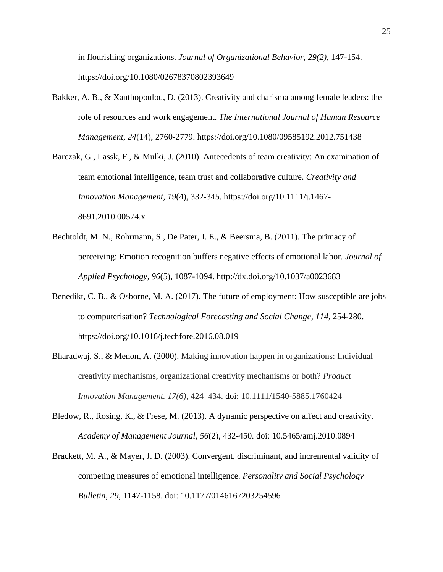in flourishing organizations. *Journal of Organizational Behavior, 29(2),* 147-154. https://doi.org/10.1080/02678370802393649

- Bakker, A. B., & Xanthopoulou, D. (2013). Creativity and charisma among female leaders: the role of resources and work engagement. *The International Journal of Human Resource Management, 24*(14), 2760-2779. https://doi.org/10.1080/09585192.2012.751438
- Barczak, G., Lassk, F., & Mulki, J. (2010). Antecedents of team creativity: An examination of team emotional intelligence, team trust and collaborative culture. *Creativity and Innovation Management, 19*(4), 332-345. https://doi.org/10.1111/j.1467- 8691.2010.00574.x
- Bechtoldt, M. N., Rohrmann, S., De Pater, I. E., & Beersma, B. (2011). The primacy of perceiving: Emotion recognition buffers negative effects of emotional labor. *Journal of Applied Psychology, 96*(5), 1087-1094. [http://dx.doi.org/10.1037/a0023683](https://psycnet.apa.org/doi/10.1037/a0023683)
- Benedikt, C. B., & Osborne, M. A. (2017). The future of employment: How susceptible are jobs to computerisation? *[Technological Forecasting and Social Change,](https://www.sciencedirect.com/science/journal/00401625) 114,* 254-280. https://doi.org/10.1016/j.techfore.2016.08.019
- Bharadwaj, S., & Menon, A. (2000). Making innovation happen in organizations: Individual creativity mechanisms, organizational creativity mechanisms or both? *Product Innovation Management. 17(6),* 424–434. doi: 10.1111/1540-5885.1760424
- Bledow, R., Rosing, K., & Frese, M. (2013). A dynamic perspective on affect and creativity. *Academy of Management Journal*, *56*(2), 432-450. doi: 10.5465/amj.2010.0894
- Brackett, M. A., & Mayer, J. D. (2003). Convergent, discriminant, and incremental validity of competing measures of emotional intelligence. *Personality and Social Psychology Bulletin, 29,* 1147-1158. doi: 10.1177/0146167203254596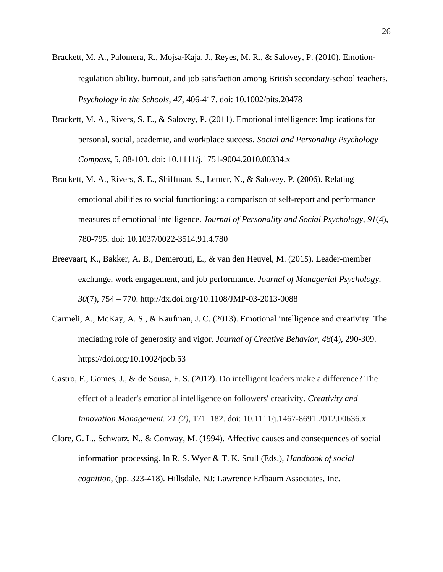- Brackett, M. A., Palomera, R., Mojsa‐Kaja, J., Reyes, M. R., & Salovey, P. (2010). Emotion‐ regulation ability, burnout, and job satisfaction among British secondary‐school teachers. *Psychology in the Schools, 47*, 406-417. doi: 10.1002/pits.20478
- Brackett, M. A., Rivers, S. E., & Salovey, P. (2011). Emotional intelligence: Implications for personal, social, academic, and workplace success. *Social and Personality Psychology Compass*, 5, 88-103. doi: 10.1111/j.1751-9004.2010.00334.x
- Brackett, M. A., Rivers, S. E., Shiffman, S., Lerner, N., & Salovey, P. (2006). Relating emotional abilities to social functioning: a comparison of self-report and performance measures of emotional intelligence. *Journal of Personality and Social Psychology*, *91*(4), 780-795. doi: 10.1037/0022-3514.91.4.780
- Breevaart, K., Bakker, A. B., Demerouti, E., & van den Heuvel, M. (2015). Leader-member exchange, work engagement, and job performance. *Journal of Managerial Psychology, 30*(7), 754 – 770. http://dx.doi.org/10.1108/JMP-03-2013-0088
- Carmeli, A., McKay, A. S., & Kaufman, J. C. (2013). Emotional intelligence and creativity: The mediating role of generosity and vigor. *Journal of Creative Behavior, 48*(4), 290-309. https://doi.org/10.1002/jocb.53
- Castro, F., Gomes, J., & de Sousa, F. S. (2012). Do intelligent leaders make a difference? The effect of a leader's emotional intelligence on followers' creativity. *Creativity and Innovation Management. 21 (2),* 171–182. doi: 10.1111/j.1467-8691.2012.00636.x
- Clore, G. L., Schwarz, N., & Conway, M. (1994). Affective causes and consequences of social information processing. In R. S. Wyer & T. K. Srull (Eds.), *Handbook of social cognition,* (pp. 323-418). Hillsdale, NJ: Lawrence Erlbaum Associates, Inc.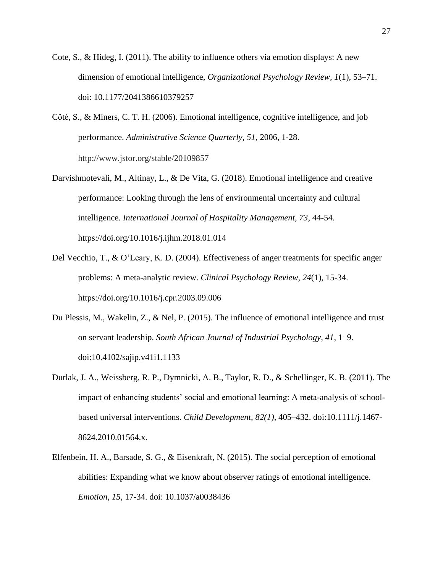- Cote, S., & Hideg, I. (2011). The ability to influence others via emotion displays: A new dimension of emotional intelligence, *Organizational Psychology Review, 1*(1)*,* 53–71. doi: 10.1177/2041386610379257
- Côté, S., & Miners, C. T. H. (2006). Emotional intelligence, cognitive intelligence, and job performance. *Administrative Science Quarterly, 51,* 2006, 1‐28. http://www.jstor.org/stable/20109857
- Darvishmotevali, M., Altinay, L., & De Vita, G. (2018). Emotional intelligence and creative performance: Looking through the lens of environmental uncertainty and cultural intelligence. *International Journal of Hospitality Management, 73*, 44-54. https://doi.org/10.1016/j.ijhm.2018.01.014
- Del Vecchio, T., & O'Leary, K. D. (2004). Effectiveness of anger treatments for specific anger problems: A meta-analytic review. *Clinical Psychology Review, 24*(1), 15-34. https://doi.org/10.1016/j.cpr.2003.09.006
- Du Plessis, M., Wakelin, Z., & Nel, P. (2015). The influence of emotional intelligence and trust on servant leadership. *South African Journal of Industrial Psychology, 41*, 1–9. doi:10.4102/sajip.v41i1.1133
- Durlak, J. A., Weissberg, R. P., Dymnicki, A. B., Taylor, R. D., & Schellinger, K. B. (2011). The impact of enhancing students' social and emotional learning: A meta-analysis of schoolbased universal interventions. *Child Development, 82(1),* 405–432. doi:10.1111/j.1467- 8624.2010.01564.x.
- Elfenbein, H. A., Barsade, S. G., & Eisenkraft, N. (2015). The social perception of emotional abilities: Expanding what we know about observer ratings of emotional intelligence. *Emotion*, *15,* 17-34. doi: 10.1037/a0038436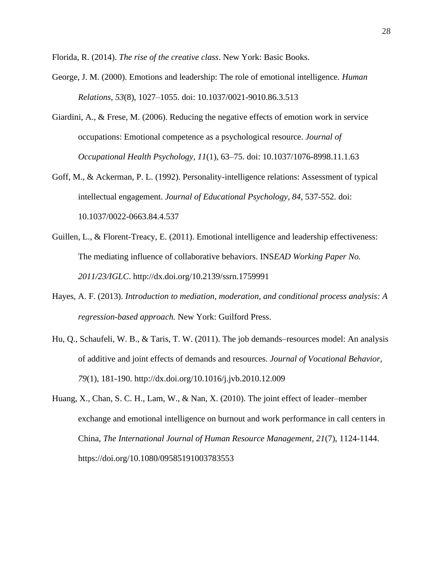Florida, R. (2014). *The rise of the creative class*. New York: Basic Books.

- George, J. M. (2000). Emotions and leadership: The role of emotional intelligence. *Human Relations, 53*(8), 1027–1055. doi: 10.1037/0021-9010.86.3.513
- Giardini, A., & Frese, M. (2006). Reducing the negative effects of emotion work in service occupations: Emotional competence as a psychological resource. *Journal of Occupational Health Psychology, 11*(1), 63–75. doi: 10.1037/1076-8998.11.1.63
- Goff, M., & Ackerman, P. L. (1992). Personality-intelligence relations: Assessment of typical intellectual engagement. *Journal of Educational Psychology, 84*, 537-552. doi: 10.1037/0022-0663.84.4.537
- Guillen, L., & Florent-Treacy, E. (2011). Emotional intelligence and leadership effectiveness: The mediating influence of collaborative behaviors. INS*EAD Working Paper No. 2011/23/IGLC*. [http://dx.doi.org/10.2139/ssrn.1759991](https://dx.doi.org/10.2139/ssrn.1759991)
- Hayes, A. F. (2013). *Introduction to mediation, moderation, and conditional process analysis: A regression-based approach.* New York: Guilford Press.
- Hu, Q., Schaufeli, W. B., & Taris, T. W. (2011). The job demands–resources model: An analysis of additive and joint effects of demands and resources. *Journal of Vocational Behavior, 79*(1), 181-190. [http://dx.doi.org/10.1016/j.jvb.2010.12.009](https://psycnet.apa.org/doi/10.1016/j.jvb.2010.12.009)
- Huang, X., Chan, S. C. H., Lam, W., & Nan, X. (2010). The joint effect of leader–member exchange and emotional intelligence on burnout and work performance in call centers in China, *The International Journal of Human Resource Management, 21*(7), 1124-1144. <https://doi.org/10.1080/09585191003783553>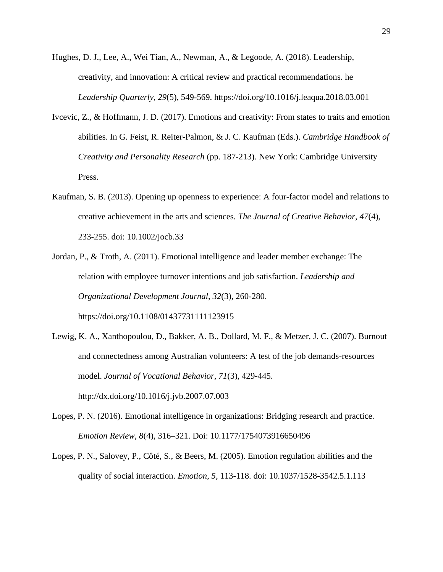- Hughes, D. J., Lee, A., Wei Tian, A., Newman, A., & Legoode, A. (2018). Leadership, creativity, and innovation: A critical review and practical recommendations. he *Leadership Quarterly, 29*(5), 549-569. https://doi.org/10.1016/j.leaqua.2018.03.001
- Ivcevic, Z., & Hoffmann, J. D. (2017). Emotions and creativity: From states to traits and emotion abilities. In G. Feist, R. Reiter-Palmon, & J. C. Kaufman (Eds.). *Cambridge Handbook of Creativity and Personality Research* (pp. 187-213). New York: Cambridge University Press.
- Kaufman, S. B. (2013). Opening up openness to experience: A four-factor model and relations to creative achievement in the arts and sciences. *The Journal of Creative Behavior, 47*(4)*,*  233-255. doi: 10.1002/jocb.33
- Jordan, P., & Troth, A. (2011). Emotional intelligence and leader member exchange: The relation with employee turnover intentions and job satisfaction. *Leadership and Organizational Development Journal, 32*(3), 260-280. https://doi.org/10.1108/01437731111123915
- Lewig, K. A., Xanthopoulou, D., Bakker, A. B., Dollard, M. F., & Metzer, J. C. (2007). Burnout and connectedness among Australian volunteers: A test of the job demands-resources model. *Journal of Vocational Behavior, 71*(3), 429-445. [http://dx.doi.org/10.1016/j.jvb.2007.07.003](https://psycnet.apa.org/doi/10.1016/j.jvb.2007.07.003)
- Lopes, P. N. (2016). Emotional intelligence in organizations: Bridging research and practice. *Emotion Review, 8*(4), 316–321. Doi: 10.1177/1754073916650496
- Lopes, P. N., Salovey, P., Côté, S., & Beers, M. (2005). Emotion regulation abilities and the quality of social interaction. *Emotion*, *5,* 113-118. doi: 10.1037/1528-3542.5.1.113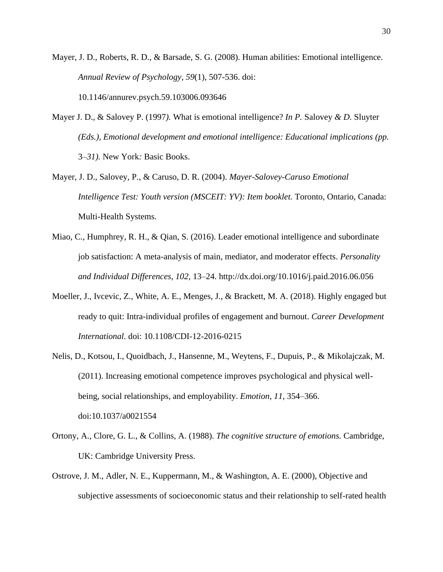Mayer, J. D., Roberts, R. D., & Barsade, S. G. (2008). Human abilities: Emotional intelligence. *Annual Review of Psychology, 59*(1)*,* 507-536. doi: 10.1146/annurev.psych.59.103006.093646

- Mayer J. D., & Salovey P. (1997*).* What is emotional intelligence? *In P.* Salovey *& D.* Sluyter *(Eds.), Emotional development and emotional intelligence: Educational implications (pp.*  3*–31).* New York*:* Basic Books.
- Mayer, J. D., Salovey, P., & Caruso, D. R. (2004). *Mayer-Salovey-Caruso Emotional Intelligence Test: Youth version (MSCEIT: YV): Item booklet.* Toronto, Ontario, Canada: Multi-Health Systems.
- Miao, C., Humphrey, R. H., & Qian, S. (2016). Leader emotional intelligence and subordinate job satisfaction: A meta-analysis of main, mediator, and moderator effects. *Personality and Individual Differences, 102,* 13–24. http://dx.doi.org/10.1016/j.paid.2016.06.056
- Moeller, J., Ivcevic, Z., White, A. E., Menges, J., & Brackett, M. A. (2018). Highly engaged but ready to quit: Intra-individual profiles of engagement and burnout. *Career Development International.* doi: 10.1108/CDI-12-2016-0215
- Nelis, D., Kotsou, I., Quoidbach, J., Hansenne, M., Weytens, F., Dupuis, P., & Mikolajczak, M. (2011). Increasing emotional competence improves psychological and physical wellbeing, social relationships, and employability. *Emotion*, *11*, 354–366. doi:10.1037/a0021554
- Ortony, A., Clore, G. L., & Collins, A. (1988). *The cognitive structure of emotions.* Cambridge, UK: Cambridge University Press.
- Ostrove, J. M., Adler, N. E., Kuppermann, M., & Washington, A. E. (2000), Objective and subjective assessments of socioeconomic status and their relationship to self-rated health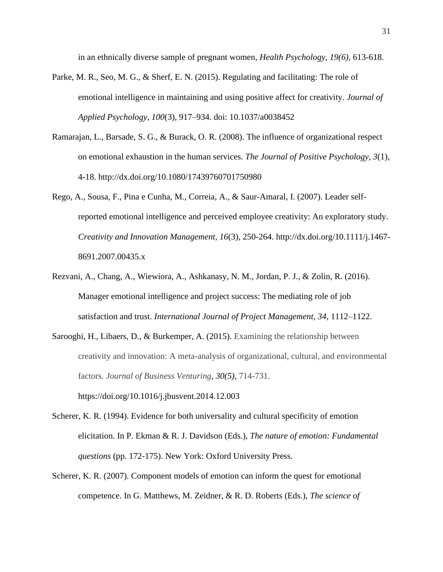in an ethnically diverse sample of pregnant women, *Health Psychology, 19(6),* 613-618.

- Parke, M. R., Seo, M. G., & Sherf, E. N. (2015). Regulating and facilitating: The role of emotional intelligence in maintaining and using positive affect for creativity. *Journal of Applied Psychology*, *100*(3), 917–934. doi: 10.1037/a0038452
- Ramarajan, L., Barsade, S. G., & Burack, O. R. (2008). The influence of organizational respect on emotional exhaustion in the human services. *The Journal of Positive Psychology, 3*(1), 4-18. [http://dx.doi.org/10.1080/17439760701750980](https://psycnet.apa.org/doi/10.1080/17439760701750980)
- Rego, A., Sousa, F., Pina e Cunha, M., Correia, A., & Saur-Amaral, I. (2007). Leader selfreported emotional intelligence and perceived employee creativity: An exploratory study. *Creativity and Innovation Management, 16*(3), 250-264. [http://dx.doi.org/10.1111/j.1467-](https://psycnet.apa.org/doi/10.1111/j.1467-8691.2007.00435.x) [8691.2007.00435.x](https://psycnet.apa.org/doi/10.1111/j.1467-8691.2007.00435.x)
- Rezvani, A., Chang, A., Wiewiora, A., Ashkanasy, N. M., Jordan, P. J., & Zolin, R. (2016). Manager emotional intelligence and project success: The mediating role of job satisfaction and trust. *International Journal of Project Management, 34*, 1112–1122.
- Sarooghi, H., Libaers, D., & Burkemper, A. (2015). Examining the relationship between creativity and innovation: A meta-analysis of organizational, cultural, and environmental factors*. [Journal of Business Venturing,](https://www.sciencedirect.com/science/journal/08839026) 30(5),* 714-731.

https://doi.org/10.1016/j.jbusvent.2014.12.003

- Scherer, K. R. (1994). Evidence for both universality and cultural specificity of emotion elicitation. In P. Ekman & R. J. Davidson (Eds.), *The nature of emotion: Fundamental questions* (pp. 172-175). New York: Oxford University Press.
- Scherer, K. R. (2007). Component models of emotion can inform the quest for emotional competence. In G. Matthews, M. Zeidner, & R. D. Roberts (Eds.), *The science of*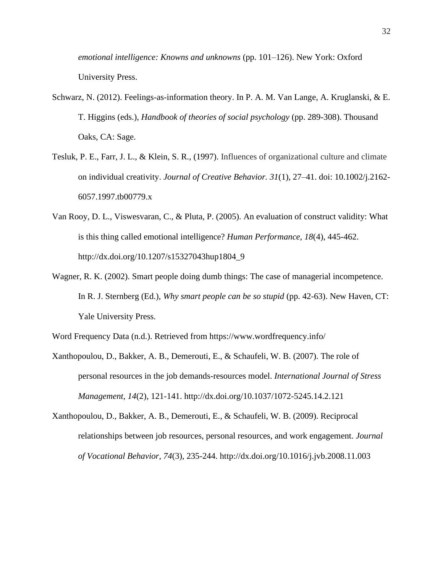*emotional intelligence: Knowns and unknowns* (pp. 101–126). New York: Oxford University Press.

- Schwarz, N. (2012). Feelings-as-information theory. In P. A. M. Van Lange, A. Kruglanski, & E. T. Higgins (eds.), *Handbook of theories of social psychology* (pp. 289-308). Thousand Oaks, CA: Sage.
- Tesluk, P. E., Farr, J. L., & Klein, S. R., (1997). Influences of organizational culture and climate on individual creativity. *Journal of Creative Behavior. 31*(1), 27–41. doi: 10.1002/j.2162- 6057.1997.tb00779.x
- Van Rooy, D. L., Viswesvaran, C., & Pluta, P. (2005). An evaluation of construct validity: What is this thing called emotional intelligence? *Human Performance, 18*(4), 445-462. [http://dx.doi.org/10.1207/s15327043hup1804\\_9](https://psycnet.apa.org/doi/10.1207/s15327043hup1804_9)
- Wagner, R. K. (2002). Smart people doing dumb things: The case of managerial incompetence. In R. J. Sternberg (Ed.), *Why smart people can be so stupid* (pp. 42-63). New Haven, CT: Yale University Press.

Word Frequency Data (n.d.). Retrieved from https://www.wordfrequency.info/

Xanthopoulou, D., Bakker, A. B., Demerouti, E., & Schaufeli, W. B. (2007). The role of personal resources in the job demands-resources model. *International Journal of Stress Management, 14*(2), 121-141. [http://dx.doi.org/10.1037/1072-5245.14.2.121](https://psycnet.apa.org/doi/10.1037/1072-5245.14.2.121)

Xanthopoulou, D., Bakker, A. B., Demerouti, E., & Schaufeli, W. B. (2009). Reciprocal relationships between job resources, personal resources, and work engagement. *Journal of Vocational Behavior, 74*(3), 235-244. [http://dx.doi.org/10.1016/j.jvb.2008.11.003](https://psycnet.apa.org/doi/10.1016/j.jvb.2008.11.003)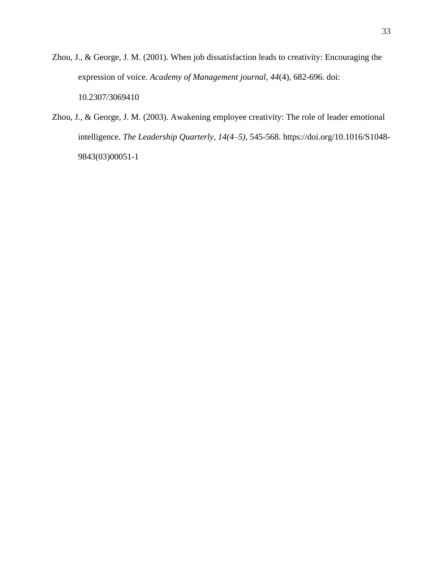- Zhou, J., & George, J. M. (2001). When job dissatisfaction leads to creativity: Encouraging the expression of voice. *Academy of Management journal*, *44*(4), 682-696. doi: 10.2307/3069410
- Zhou, J., & George, J. M. (2003). Awakening employee creativity: The role of leader emotional intelligence. *[The Leadership Quarterly,](https://www.sciencedirect.com/science/journal/10489843) [14\(4–5\)](14(4–5),* 545-568. https://doi.org/10.1016/S1048- 9843(03)00051-1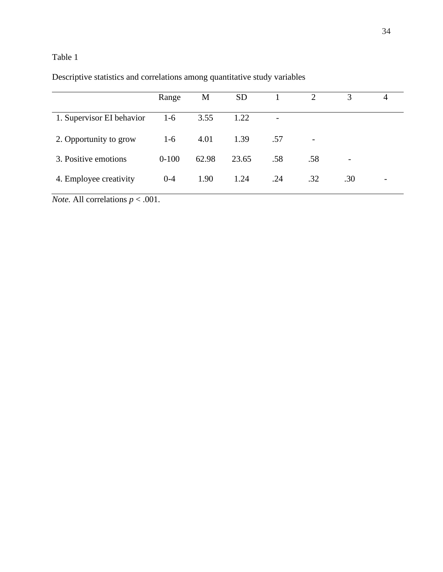# Table 1

|                           | Range     | M     | <b>SD</b> |                          | $\overline{2}$ |     | 4 |
|---------------------------|-----------|-------|-----------|--------------------------|----------------|-----|---|
| 1. Supervisor EI behavior | $1-6$     | 3.55  | 1.22      | $\overline{\phantom{a}}$ |                |     |   |
| 2. Opportunity to grow    | $1-6$     | 4.01  | 1.39      | .57                      |                |     |   |
| 3. Positive emotions      | $0 - 100$ | 62.98 | 23.65     | .58                      | .58            |     |   |
| 4. Employee creativity    | $0 - 4$   | 1.90  | 1.24      | .24                      | .32            | .30 |   |

Descriptive statistics and correlations among quantitative study variables

*Note.* All correlations *p* < .001.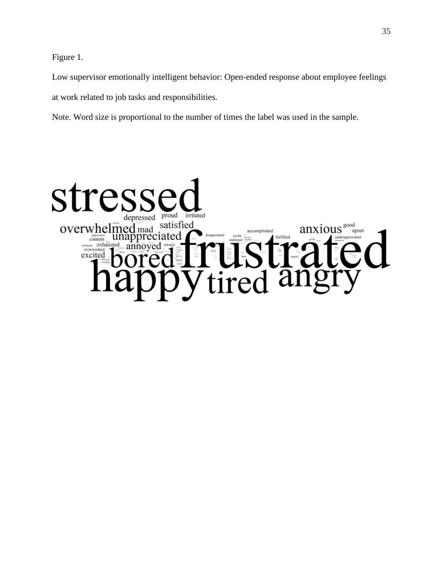Figure 1.

Low supervisor emotionally intelligent behavior: Open-ended response about employee feelings at work related to job tasks and responsibilities.

Note. Word size is proportional to the number of times the label was used in the sample.

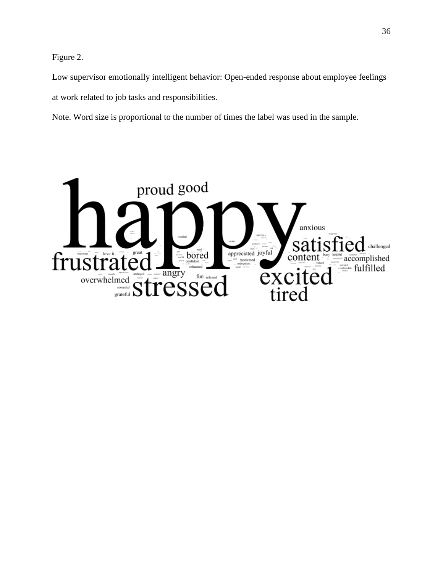Figure 2.

Low supervisor emotionally intelligent behavior: Open-ended response about employee feelings at work related to job tasks and responsibilities.

Note. Word size is proportional to the number of times the label was used in the sample.

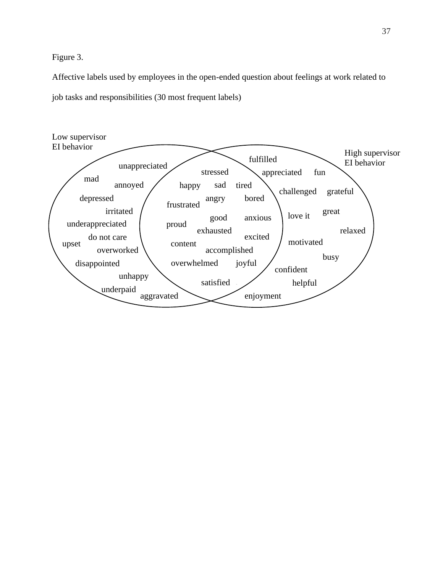Figure 3.

Affective labels used by employees in the open-ended question about feelings at work related to job tasks and responsibilities (30 most frequent labels)